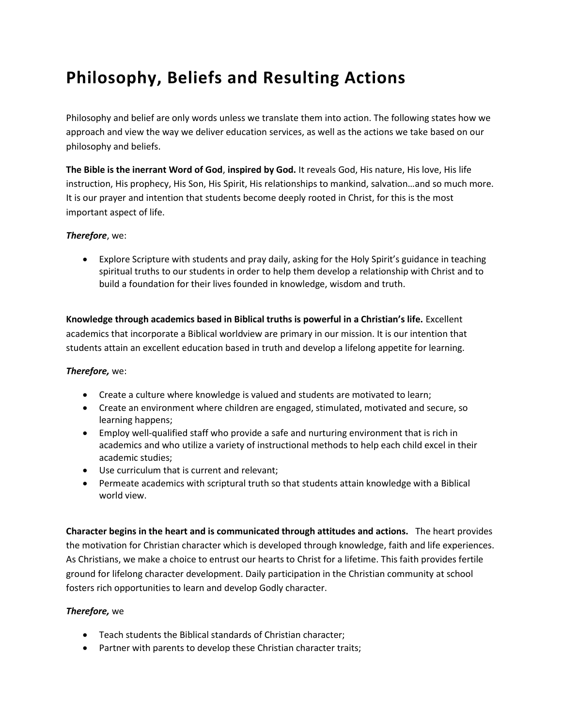# **Philosophy, Beliefs and Resulting Actions**

Philosophy and belief are only words unless we translate them into action. The following states how we approach and view the way we deliver education services, as well as the actions we take based on our philosophy and beliefs.

**The Bible is the inerrant Word of God**, **inspired by God.** It reveals God, His nature, His love, His life instruction, His prophecy, His Son, His Spirit, His relationships to mankind, salvation…and so much more. It is our prayer and intention that students become deeply rooted in Christ, for this is the most important aspect of life.

#### *Therefore*, we:

 Explore Scripture with students and pray daily, asking for the Holy Spirit's guidance in teaching spiritual truths to our students in order to help them develop a relationship with Christ and to build a foundation for their lives founded in knowledge, wisdom and truth.

**Knowledge through academics based in Biblical truths is powerful in a Christian's life.** Excellent academics that incorporate a Biblical worldview are primary in our mission. It is our intention that students attain an excellent education based in truth and develop a lifelong appetite for learning.

#### *Therefore,* we:

- Create a culture where knowledge is valued and students are motivated to learn;
- Create an environment where children are engaged, stimulated, motivated and secure, so learning happens;
- Employ well-qualified staff who provide a safe and nurturing environment that is rich in academics and who utilize a variety of instructional methods to help each child excel in their academic studies;
- Use curriculum that is current and relevant;
- Permeate academics with scriptural truth so that students attain knowledge with a Biblical world view.

**Character begins in the heart and is communicated through attitudes and actions.** The heart provides the motivation for Christian character which is developed through knowledge, faith and life experiences. As Christians, we make a choice to entrust our hearts to Christ for a lifetime. This faith provides fertile ground for lifelong character development. Daily participation in the Christian community at school fosters rich opportunities to learn and develop Godly character.

#### *Therefore,* we

- Teach students the Biblical standards of Christian character;
- Partner with parents to develop these Christian character traits;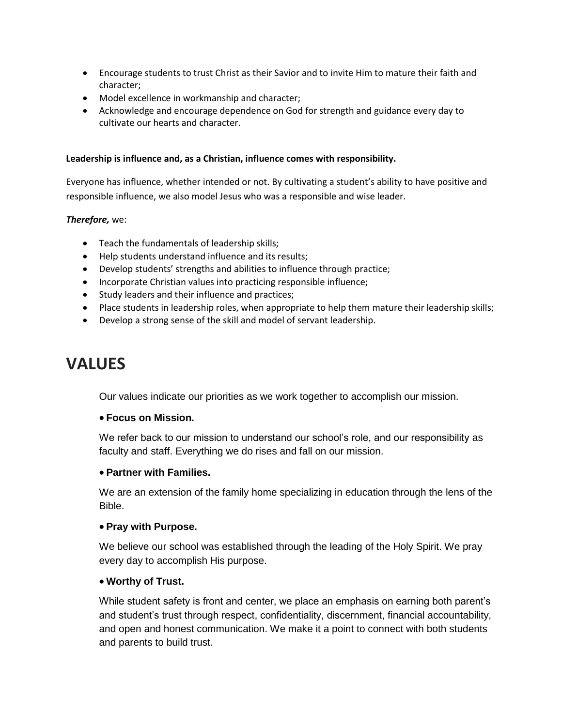- Encourage students to trust Christ as their Savior and to invite Him to mature their faith and character;
- Model excellence in workmanship and character;
- Acknowledge and encourage dependence on God for strength and guidance every day to cultivate our hearts and character.

#### **Leadership is influence and, as a Christian, influence comes with responsibility.**

Everyone has influence, whether intended or not. By cultivating a student's ability to have positive and responsible influence, we also model Jesus who was a responsible and wise leader.

#### *Therefore,* we:

- Teach the fundamentals of leadership skills;
- Help students understand influence and its results;
- Develop students' strengths and abilities to influence through practice;
- Incorporate Christian values into practicing responsible influence;
- Study leaders and their influence and practices;
- Place students in leadership roles, when appropriate to help them mature their leadership skills;
- Develop a strong sense of the skill and model of servant leadership.

# **VALUES**

Our values indicate our priorities as we work together to accomplish our mission.

#### **Focus on Mission.**

We refer back to our mission to understand our school's role, and our responsibility as faculty and staff. Everything we do rises and fall on our mission.

#### **Partner with Families.**

We are an extension of the family home specializing in education through the lens of the Bible.

#### **Pray with Purpose.**

We believe our school was established through the leading of the Holy Spirit. We pray every day to accomplish His purpose.

#### **Worthy of Trust.**

While student safety is front and center, we place an emphasis on earning both parent's and student's trust through respect, confidentiality, discernment, financial accountability, and open and honest communication. We make it a point to connect with both students and parents to build trust.